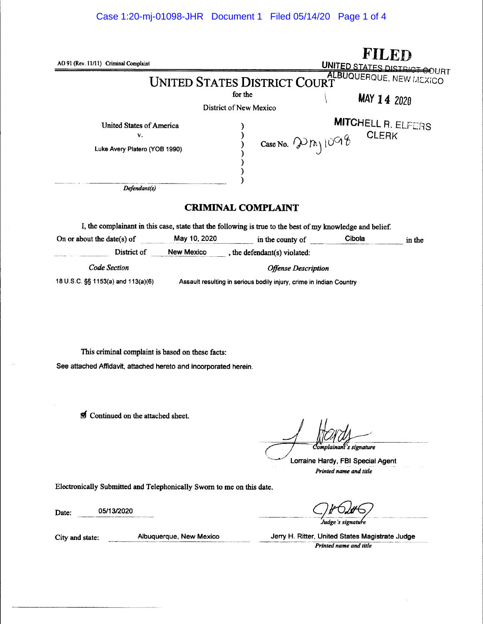# Case 1:20-mj-01098-JHR Document 1 Filed 05/14/20 Page 1 of 4

| AO 91 (Rev. 11/11) Criminal Complaint                                  |                                                                     | UNITED STATES DISTRICT COURT                                                                              |                                               |        |  |
|------------------------------------------------------------------------|---------------------------------------------------------------------|-----------------------------------------------------------------------------------------------------------|-----------------------------------------------|--------|--|
|                                                                        |                                                                     | <b>UNITED STATES DISTRICT COURT</b><br>for the                                                            | <b>ALBUQUERQUE, NEW MEXICO</b><br>MAY 14 2020 |        |  |
|                                                                        |                                                                     | District of New Mexico                                                                                    |                                               |        |  |
| <b>United States of America</b><br>v.<br>Luke Avery Platero (YOB 1990) |                                                                     | Case No. $\mathcal{P}_{n}$ $\cup$ 98                                                                      | <b>MITCHELL R. ELFERS</b><br><b>CLERK</b>     |        |  |
| Defendant(s)                                                           |                                                                     |                                                                                                           |                                               |        |  |
|                                                                        |                                                                     | <b>CRIMINAL COMPLAINT</b>                                                                                 |                                               |        |  |
|                                                                        |                                                                     | I, the complainant in this case, state that the following is true to the best of my knowledge and belief. |                                               |        |  |
| On or about the date(s) of                                             |                                                                     | May 10, 2020 $\qquad \qquad$ in the county of                                                             | Cibola                                        | in the |  |
|                                                                        |                                                                     | District of New Mexico , the defendant(s) violated:                                                       |                                               |        |  |
| Code Section                                                           |                                                                     | <b>Offense Description</b>                                                                                |                                               |        |  |
| 18 U.S.C. §§ 1153(a) and 113(a)(6)                                     | Assault resulting in serious bodily injury, crime in Indian Country |                                                                                                           |                                               |        |  |
|                                                                        |                                                                     |                                                                                                           |                                               |        |  |
|                                                                        |                                                                     |                                                                                                           |                                               |        |  |

This criminal complaint is based on these facts: See attached Affidavit, attached hereto and incorporated herein.

d Continued on the attached sheet.

Complainant's signature<br>Lorraine Hardy, FBI Special Agent Printed name and title

Electronically Submitted and Telephonically Sworn to me on this date.

05/13/2020 Date:

City and state: Albuquerque, New Mexico

Jerry H. Rifter, United States Magistrate Judge Printed name and title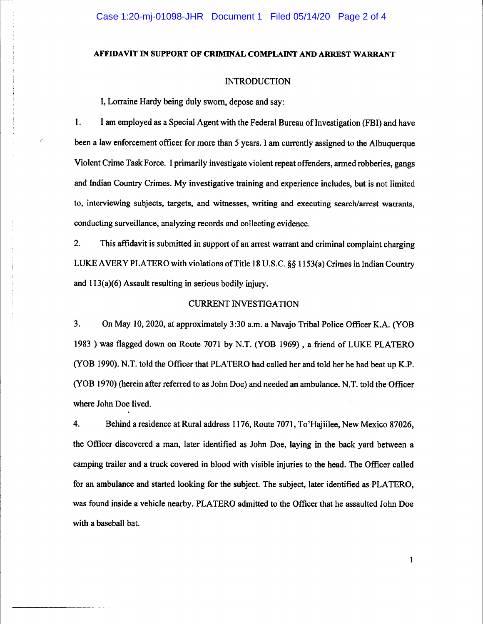## AFFIDAVIT IN SUPPORT OF CRIMINAL COMPLAINT AND ARREST WARRANT

#### **INTRODUCTION**

I, Lorraine Hardy being duly swom, depose and say:

l. <sup>I</sup>am employed as a Special Agent with the Federal Bureau of Investigation (FBI) and have been a law enforcement officer for more than 5 years. I am currently assigned to the Albuquerque Violent Crime Task Force. I primarily investigate violent repeat offenders, armed robberies, gangs and Indian Country Crimes. My investigative training and experience includes, but is not limited to, interviewing subjects, targets, and witnesses, writing and executing search/arrest warrants, conducting surveillance, analyzing records and collecting evidence.

2. This affidavit is submitted in support of an arrest warrant and criminal complaint charging LUKE AVERY PLATERO with violations of Title 18 U.S.C. §§ 1153(a) Crimes in Indian Country and 113(a)(6) Assault resulting in serious bodily injury.

#### **CURRENT INVESTIGATION**

3. On May 10,2020, at approximately 3:30 a.m. a Navajo Tribal Police Officer K.A. (YOB <sup>1983</sup>) was flagged down on Route 7071by N.T. (YOB 1969) , a friend of LUKE PLATERO (YOB 1990). N.T. told the Officer that PLATERO had called her and told her he had beat up K.P. CYOB 1970) (herein after referred to as John Doe) and needed an ambulance. N.T. told the Officer where John Doe lived.

4. Behind a residenoe at Rural address 1176, Route 707l,To'Hajiilee, New Mexico 87026, the Officer discovered a man, later identified as John Doe, laying in the back yard between a camping trailer and a truck covered in blood with visible injuries to the head. The Officer called for an ambulance and started looking for the subject. The subject, later identified as PLATERO, was found inside a vehicle nearby. PLATERO admitted to the Officer that he assaulted John Doe with a baseball bat.

 $\mathbf{1}$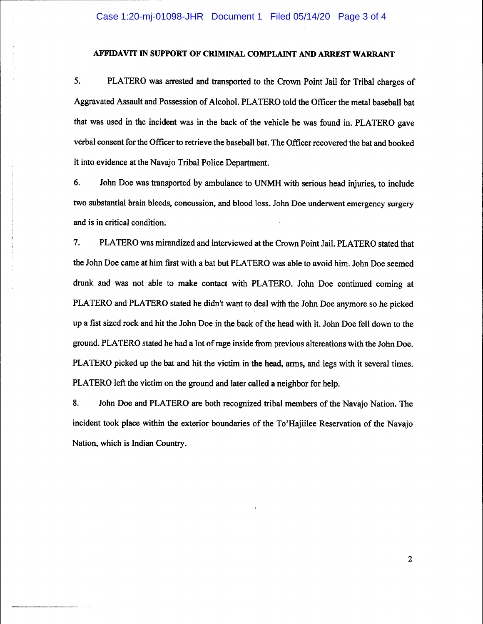# AFFIDAVIT IN SUPPORT OF CRIMINAL COMPLAINT AND ARREST WARRANT

5. PLATERO was arested and transported to the Crown Point Jail for Tribal charges of Aggravated Assault and Possession of Alcohol. PLATERO told the Officer the metal baseball bat that was used in the incident was in the back of the vehicle he was found in. PLATERO gave verbal consent for the Officer to retrieve the baseball bat. The Officer recovered the bat and booked it into evidence at the Navajo Tribal Police Department.

6. John Doe was transported by ambulance to UNMH with serious head injuries, to include two substantial brain bleeds, concussion, and blood loss- John Doe underwent emergency surgery and is in critical condition.

7. PLATERO was mirandized and interviewed at the Crown Point Jail. PLATERO stated that the John Doe came at him first with a bat but PLATERO was able to avoid him. John Doe seemed drunk and was not able to make contact with PLATERO. John Doe continued coming at PLATERO and PLATERO stated he didn't want to deal with the John Doe anymore so he picked up a fist sized rock and hit the John Doe in the baok of the head with it. John Doe fell down to the ground. PLATERO stated he had a lot of rage inside from previous altercations with the John Doe. PLATERO picked up the bat and hit the victim in the head, arms, and legs with it several times. PLATERO left the victim on the ground and later called a neighbor for help.

8. John Doe and PLATERO are both recognized tribal members of the Navajo Nation. The incident took place within the exterior boundaries of the To'Hajiilee Reservation of the Navajo Nation, which is Indian Country.

 $\overline{2}$